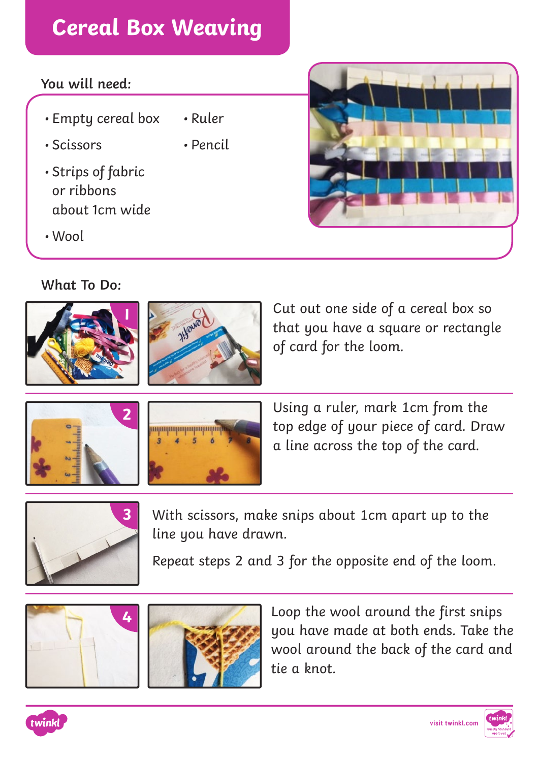## **Cereal Box Weaving**

## **You will need:**

- Empty cereal box • Ruler
- Scissors
- Strips of fabric or ribbons about 1cm wide
- Wool

**What To Do:**





• Pencil

Cut out one side of a cereal box so that you have a square or rectangle of card for the loom.





Using a ruler, mark 1cm from the top edge of your piece of card. Draw a line across the top of the card.



**3** With scissors, make snips about 1cm apart up to the line you have drawn.

Repeat steps 2 and 3 for the opposite end of the loom.





Loop the wool around the first snips you have made at both ends. Take the wool around the back of the card and tie a knot.